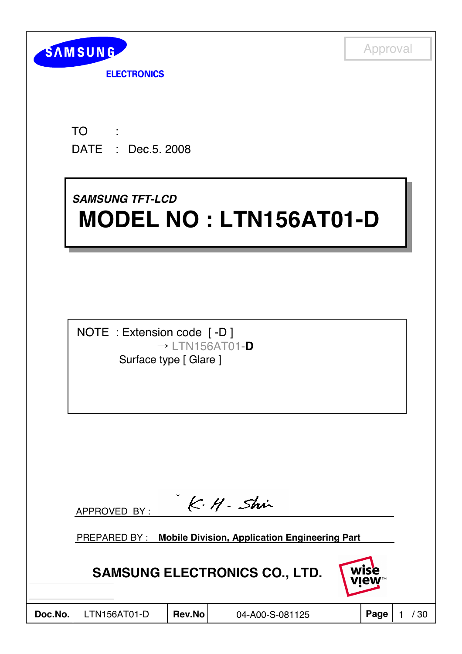

**ELECTRONICS** 

TO : DATE : Dec.5. 2008

# *SAMSUNG TFT-LCD SAMSUNG TFT-LCD* **MODEL NO : LTN156AT01-D MODEL NO : LTN156AT01-D**

NOTE : Extension code [ -D ]  $\rightarrow$  LTN156AT01-**D** Surface type [ Glare ]

|         | APPROVED BY: |               | K·H·Shir                                                          |              |    |
|---------|--------------|---------------|-------------------------------------------------------------------|--------------|----|
|         |              |               | <b>PREPARED BY: Mobile Division, Application Engineering Part</b> |              |    |
|         |              |               | <b>SAMSUNG ELECTRONICS CO., LTD.</b>                              | wise<br>view |    |
| Doc.No. | LTN156AT01-D | <b>Rev.No</b> | 04-A00-S-081125                                                   | Page         | 30 |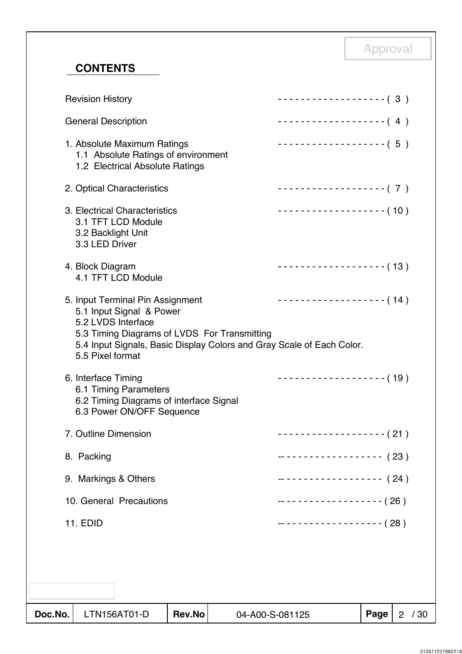# **CONTENTS**

| Doc.No. | LTN156AT01-D                                                                                                                                                                           | <b>Rev.No</b> | 04-A00-S-081125 |                                           | Page | 2 / 30 |
|---------|----------------------------------------------------------------------------------------------------------------------------------------------------------------------------------------|---------------|-----------------|-------------------------------------------|------|--------|
|         |                                                                                                                                                                                        |               |                 |                                           |      |        |
|         |                                                                                                                                                                                        |               |                 |                                           |      |        |
|         | <b>11. EDID</b>                                                                                                                                                                        |               |                 | ------------------- (28)                  |      |        |
|         | 10. General Precautions                                                                                                                                                                |               |                 | -- - - - - - - - - - - - - - - - - ( 26 ) |      |        |
|         | 9. Markings & Others                                                                                                                                                                   |               |                 | ------------------- (24)                  |      |        |
|         | 8. Packing                                                                                                                                                                             |               |                 | ------------------- (23)                  |      |        |
|         | 7. Outline Dimension                                                                                                                                                                   |               |                 | ------------------- ( 21 )                |      |        |
|         | 6.1 Timing Parameters<br>6.2 Timing Diagrams of interface Signal<br>6.3 Power ON/OFF Sequence                                                                                          |               |                 |                                           |      |        |
|         | 5.2 LVDS Interface<br>5.3 Timing Diagrams of LVDS For Transmitting<br>5.4 Input Signals, Basic Display Colors and Gray Scale of Each Color.<br>5.5 Pixel format<br>6. Interface Timing |               |                 | $------------(-19)$                       |      |        |
|         | 5. Input Terminal Pin Assignment<br>5.1 Input Signal & Power                                                                                                                           |               |                 | $------------(14)$                        |      |        |
|         | 4. Block Diagram<br>4.1 TFT LCD Module                                                                                                                                                 |               |                 |                                           |      |        |
|         | 3. Electrical Characteristics<br>3.1 TFT LCD Module<br>3.2 Backlight Unit<br>3.3 LED Driver                                                                                            |               |                 | ------------------- (10)                  |      |        |
|         | 2. Optical Characteristics                                                                                                                                                             |               |                 | -------------------- (7)                  |      |        |
|         | 1. Absolute Maximum Ratings<br>1.1 Absolute Ratings of environment<br>1.2 Electrical Absolute Ratings                                                                                  |               |                 | -------------------- (5)                  |      |        |
|         | <b>General Description</b>                                                                                                                                                             |               |                 | $\cdots$ (4)                              |      |        |
|         | <b>Revision History</b>                                                                                                                                                                |               |                 | -------------------- (3)                  |      |        |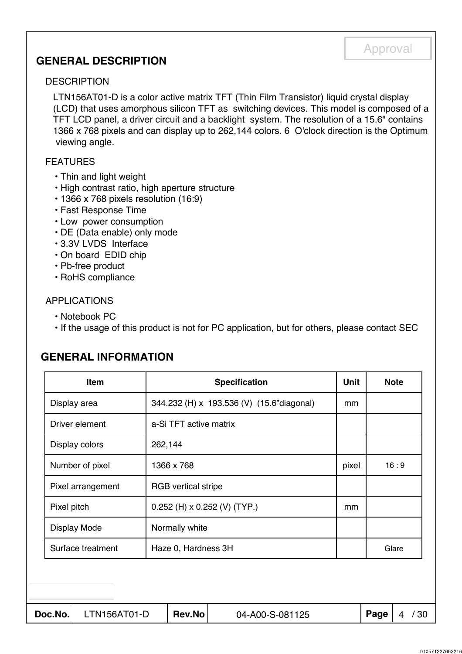# **GENERAL DESCRIPTION**

#### **DESCRIPTION**

LTN156AT01-D is a color active matrix TFT (Thin Film Transistor) liquid crystal display (LCD) that uses amorphous silicon TFT as switching devices. This model is composed of a TFT LCD panel, a driver circuit and a backlight system. The resolution of a 15.6" contains 1366 x 768 pixels and can display up to 262,144 colors. 6 O'clock direction is the Optimum viewing angle.

Approval

#### FEATURES

- Thin and light weight
- High contrast ratio, high aperture structure
- 1366 x 768 pixels resolution (16:9)
- Fast Response Time
- Low power consumption
- DE (Data enable) only mode
- 3.3V LVDS Interface
- On board EDID chip
- Pb-free product
- RoHS compliance

#### APPLICATIONS

- Notebook PC
- If the usage of this product is not for PC application, but for others, please contact SEC

# **GENERAL INFORMATION**

| <b>Item</b><br><b>Specification</b> |                   |                     |                        |                                |                                           | <b>Unit</b> |      | <b>Note</b> |     |
|-------------------------------------|-------------------|---------------------|------------------------|--------------------------------|-------------------------------------------|-------------|------|-------------|-----|
|                                     | Display area      |                     |                        |                                | 344.232 (H) x 193.536 (V) (15.6"diagonal) | mm          |      |             |     |
|                                     |                   | Driver element      | a-Si TFT active matrix |                                |                                           |             |      |             |     |
|                                     |                   | Display colors      | 262,144                |                                |                                           |             |      |             |     |
|                                     |                   | Number of pixel     | 1366 x 768             |                                |                                           | pixel       |      | 16:9        |     |
|                                     | Pixel arrangement |                     |                        | <b>RGB</b> vertical stripe     |                                           |             |      |             |     |
|                                     | Pixel pitch       |                     |                        | $0.252$ (H) x 0.252 (V) (TYP.) |                                           |             |      |             |     |
|                                     |                   | <b>Display Mode</b> | Normally white         |                                |                                           |             |      |             |     |
|                                     | Surface treatment |                     |                        | Haze 0, Hardness 3H            |                                           |             |      | Glare       |     |
|                                     |                   |                     |                        |                                |                                           |             |      |             |     |
|                                     |                   |                     |                        |                                |                                           |             |      |             |     |
|                                     | Doc.No.           | LTN156AT01-D        |                        | <b>Rev.No</b>                  | 04-A00-S-081125                           |             | Page | 4           | /30 |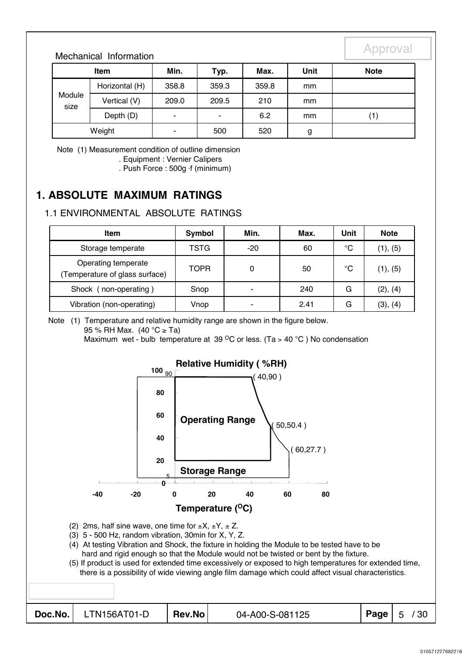## Mechanical Information

|                | Item           | Min.  | Typ.  | Max.  | Unit | <b>Note</b> |
|----------------|----------------|-------|-------|-------|------|-------------|
|                | Horizontal (H) | 358.8 | 359.3 | 359.8 | mm   |             |
| Module<br>size | Vertical (V)   | 209.0 | 209.5 | 210   | mm   |             |
|                | Depth (D)      | -     | ٠     | 6.2   | mm   | (1)         |
|                | Weight         | ۰     | 500   | 520   | g    |             |

Note (1) Measurement condition of outline dimension . Equipment : Vernier Calipers

. Push Force : 500g ⋅f (minimum)

# **1. ABSOLUTE MAXIMUM RATINGS**

# 1.1 ENVIRONMENTAL ABSOLUTE RATINGS

| Item                                                  | Symbol | Min.                     | Max. | Unit        | <b>Note</b> |
|-------------------------------------------------------|--------|--------------------------|------|-------------|-------------|
| Storage temperate                                     | TSTG   | $-20$                    | 60   | °C          | (1), (5)    |
| Operating temperate<br>(Temperature of glass surface) | TOPR   | 0                        | 50   | $^{\circ}C$ | (1), (5)    |
| Shock (non-operating)                                 | Snop   | ٠                        | 240  | G           | (2), (4)    |
| Vibration (non-operating)                             | Vnop   | $\overline{\phantom{0}}$ | 2.41 | G           | (3), (4)    |

Note (1) Temperature and relative humidity range are shown in the figure below.

95 % RH Max. (40 °C ≥ Ta)

Maximum wet - bulb temperature at 39  $\mathrm{^{\circ}C}$  or less. (Ta > 40  $\mathrm{^{\circ}C}$ ) No condensation

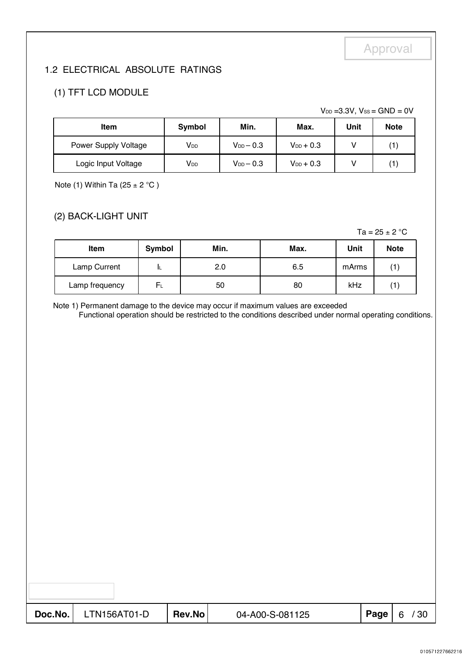# 1.2 ELECTRICAL ABSOLUTE RATINGS

# (1) TFT LCD MODULE

 $V_{DD} = 3.3V$ ,  $V_{SS} = GND = 0V$ 

| <b>Item</b>          | Symbol                | Min.             | Max.           | Unit | <b>Note</b> |
|----------------------|-----------------------|------------------|----------------|------|-------------|
| Power Supply Voltage | <b>V<sub>DD</sub></b> | $V_{DD}$ $-$ 0.3 | $V_{DD} + 0.3$ |      |             |
| Logic Input Voltage  | V <sub>DD</sub>       | $V_{DD}$ $-$ 0.3 | $V_{DD} + 0.3$ |      |             |

Note (1) Within Ta  $(25 \pm 2 \degree C)$ 

# (2) BACK-LIGHT UNIT

Ta =  $25 \pm 2$  °C

| <b>Item</b>    | Symbol |     | Max. | Unit  | <b>Note</b> |
|----------------|--------|-----|------|-------|-------------|
| Lamp Current   | ᄔ      | 2.0 | 6.5  | mArms |             |
| Lamp frequency | Fι     | 50  | 80   | kHz   |             |

Note 1) Permanent damage to the device may occur if maximum values are exceeded

Functional operation should be restricted to the conditions described under normal operating conditions.

| $\textbf{Doc}.\textsf{No.}$ LTN156AT01-D | Rev.No | 04-A00-S-081125 | Page $\vert 6$ | /30 |
|------------------------------------------|--------|-----------------|----------------|-----|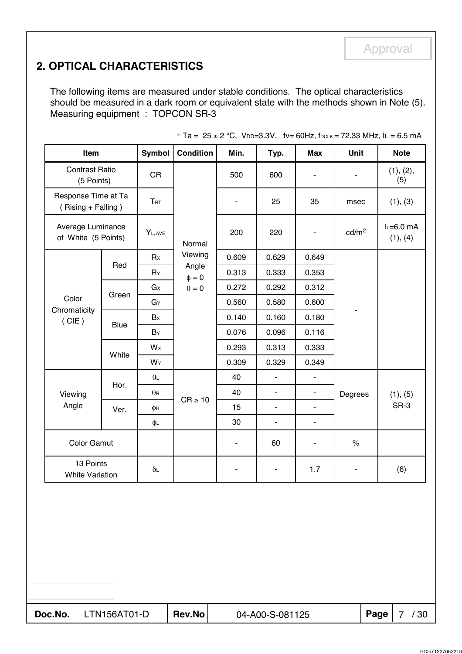# **2. OPTICAL CHARACTERISTICS**

The following items are measured under stable conditions. The optical characteristics should be measured in a dark room or equivalent state with the methods shown in Note (5). Measuring equipment : TOPCON SR-3

| <b>Contrast Ratio</b><br><b>CR</b><br>500<br>600<br>-<br>(5 Points)<br>Response Time at Ta<br><b>TRT</b><br>25<br>35<br>$\overline{\phantom{a}}$<br>(Rising + Falling)<br>Average Luminance<br>$Y_{L,AVE}$<br>200<br>220<br>$\blacksquare$<br>of White (5 Points)<br>Normal<br>Viewing<br>Rx<br>0.609<br>0.629<br>0.649<br>Red<br>Angle<br>0.313<br>0.333<br>0.353<br>$R_Y$<br>$\phi = 0$<br>$\theta=0$<br>G <sub>x</sub><br>0.272<br>0.292<br>0.312<br>Green<br>Color<br>0.560<br>0.580<br>0.600<br>GY<br>Chromaticity<br>0.160<br>Bx<br>0.140<br>0.180<br>(CIE)<br>Blue<br>$B_Y$<br>0.076<br>0.096<br>0.116<br>0.293<br>Wx<br>0.313<br>0.333<br>White<br>0.309<br>0.329<br>0.349<br>WY<br>40<br>$\theta$ L<br>ä,<br>$\blacksquare$<br>Hor.<br>40<br>$\theta$ R<br>ä,<br>$\blacksquare$<br>Viewing<br>$CR \ge 10$<br>Angle<br>15<br>ä,<br>ä,<br>φн<br>Ver. | $\blacksquare$<br>msec<br>cd/m <sup>2</sup><br>- | (1), (2),<br>(5)<br>(1), (3)<br>$L=6.0$ mA<br>(1), (4) |
|-------------------------------------------------------------------------------------------------------------------------------------------------------------------------------------------------------------------------------------------------------------------------------------------------------------------------------------------------------------------------------------------------------------------------------------------------------------------------------------------------------------------------------------------------------------------------------------------------------------------------------------------------------------------------------------------------------------------------------------------------------------------------------------------------------------------------------------------------------------|--------------------------------------------------|--------------------------------------------------------|
|                                                                                                                                                                                                                                                                                                                                                                                                                                                                                                                                                                                                                                                                                                                                                                                                                                                             |                                                  |                                                        |
|                                                                                                                                                                                                                                                                                                                                                                                                                                                                                                                                                                                                                                                                                                                                                                                                                                                             |                                                  |                                                        |
|                                                                                                                                                                                                                                                                                                                                                                                                                                                                                                                                                                                                                                                                                                                                                                                                                                                             |                                                  |                                                        |
|                                                                                                                                                                                                                                                                                                                                                                                                                                                                                                                                                                                                                                                                                                                                                                                                                                                             |                                                  |                                                        |
|                                                                                                                                                                                                                                                                                                                                                                                                                                                                                                                                                                                                                                                                                                                                                                                                                                                             |                                                  |                                                        |
|                                                                                                                                                                                                                                                                                                                                                                                                                                                                                                                                                                                                                                                                                                                                                                                                                                                             |                                                  |                                                        |
|                                                                                                                                                                                                                                                                                                                                                                                                                                                                                                                                                                                                                                                                                                                                                                                                                                                             |                                                  |                                                        |
|                                                                                                                                                                                                                                                                                                                                                                                                                                                                                                                                                                                                                                                                                                                                                                                                                                                             |                                                  |                                                        |
|                                                                                                                                                                                                                                                                                                                                                                                                                                                                                                                                                                                                                                                                                                                                                                                                                                                             |                                                  |                                                        |
|                                                                                                                                                                                                                                                                                                                                                                                                                                                                                                                                                                                                                                                                                                                                                                                                                                                             |                                                  |                                                        |
|                                                                                                                                                                                                                                                                                                                                                                                                                                                                                                                                                                                                                                                                                                                                                                                                                                                             |                                                  |                                                        |
|                                                                                                                                                                                                                                                                                                                                                                                                                                                                                                                                                                                                                                                                                                                                                                                                                                                             |                                                  |                                                        |
|                                                                                                                                                                                                                                                                                                                                                                                                                                                                                                                                                                                                                                                                                                                                                                                                                                                             | Degrees                                          | (1), (5)                                               |
|                                                                                                                                                                                                                                                                                                                                                                                                                                                                                                                                                                                                                                                                                                                                                                                                                                                             |                                                  | SR-3                                                   |
| 30<br>φL<br>$\overline{\phantom{a}}$<br>$\qquad \qquad \blacksquare$                                                                                                                                                                                                                                                                                                                                                                                                                                                                                                                                                                                                                                                                                                                                                                                        |                                                  |                                                        |
| <b>Color Gamut</b><br>60<br>$\overline{\phantom{a}}$<br>$\blacksquare$                                                                                                                                                                                                                                                                                                                                                                                                                                                                                                                                                                                                                                                                                                                                                                                      | $\%$                                             |                                                        |
| 13 Points<br>1.7<br>$\delta$ L<br>۰<br><b>White Variation</b>                                                                                                                                                                                                                                                                                                                                                                                                                                                                                                                                                                                                                                                                                                                                                                                               | ۰                                                | (6)                                                    |

\* Ta =  $25 \pm 2$  °C, VDD=3.3V, fv= 60Hz, fDCLK = 72.33 MHz, IL = 6.5 mA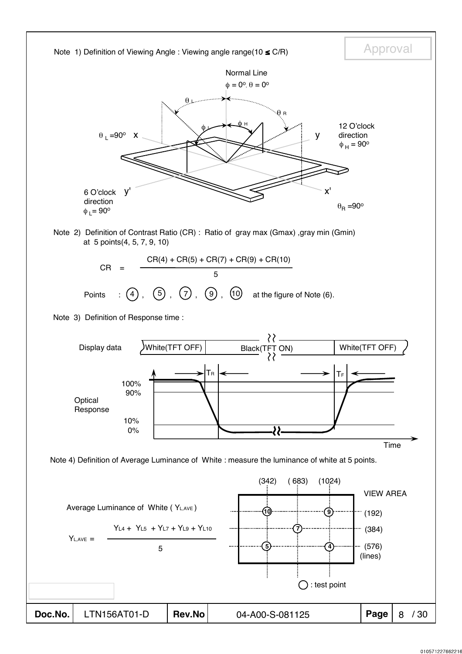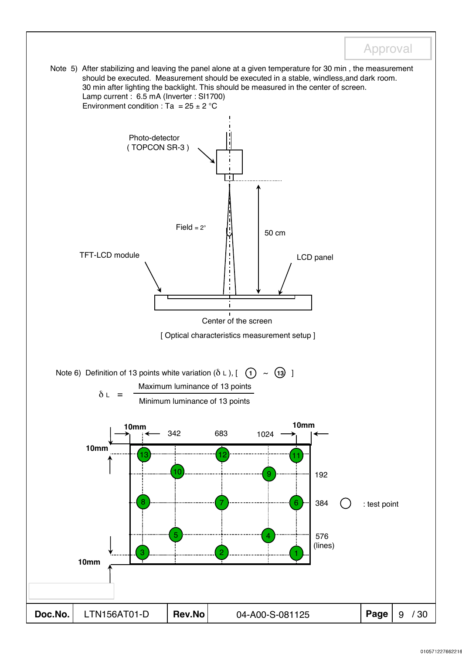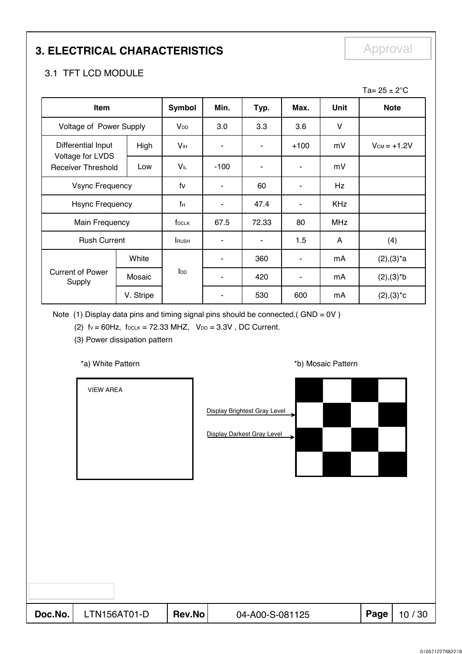# **3. ELECTRICAL CHARACTERISTICS** Approval

# 3.1 TFT LCD MODULE

|                                               |           |                            |        |                |                |            | Ta= $25 \pm 2^{\circ}$ C |
|-----------------------------------------------|-----------|----------------------------|--------|----------------|----------------|------------|--------------------------|
| Item                                          |           | Symbol                     | Min.   | Typ.           | Max.           | Unit       | <b>Note</b>              |
| Voltage of Power Supply                       |           | <b>V</b> <sub>DD</sub>     | 3.0    | 3.3            | 3.6            | $\vee$     |                          |
| Differential Input                            | High      | <b>V</b> <sub>IH</sub>     | ٠      | ۰              | $+100$         | mV         | $V_{CM} = +1.2V$         |
| Voltage for LVDS<br><b>Receiver Threshold</b> | Low       | VIL                        | $-100$ |                | $\blacksquare$ | mV         |                          |
| <b>Vsync Frequency</b>                        |           | fv                         | ٠      | 60             | $\blacksquare$ | Hz         |                          |
| <b>Hsync Frequency</b>                        |           | fн                         |        | 47.4           | ۰              | <b>KHz</b> |                          |
| Main Frequency                                |           | f <sub>DCLK</sub>          | 67.5   | 72.33          | 80             | <b>MHz</b> |                          |
| <b>Rush Current</b>                           |           | <b>RUSH</b>                | ٠      | $\blacksquare$ | 1.5            | A          | (4)                      |
|                                               | White     |                            |        | 360            | ٠              | mA         | $(2), (3)^*a$            |
| <b>Current of Power</b><br>Supply             | Mosaic    | $\mathsf{I}_{\mathsf{DD}}$ |        | 420            | ٠              | mA         | $(2), (3)*b$             |
|                                               | V. Stripe |                            |        | 530            | 600            | mA         | $(2), (3)^*c$            |

Note (1) Display data pins and timing signal pins should be connected.(  $GND = OV$  )

(2)  $fv = 60Hz$ ,  $f_{DCLK} = 72.33 MHz$ ,  $V_{DD} = 3.3V$ , DC Current.

(3) Power dissipation pattern

#### \*a) White Pattern **\*b**) Mosaic Pattern **\*b**)

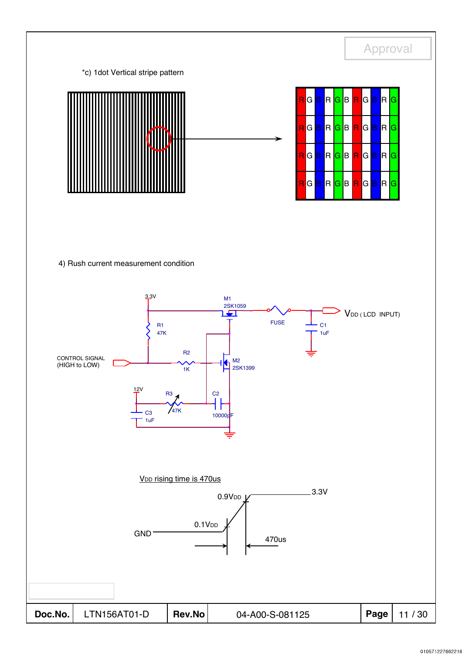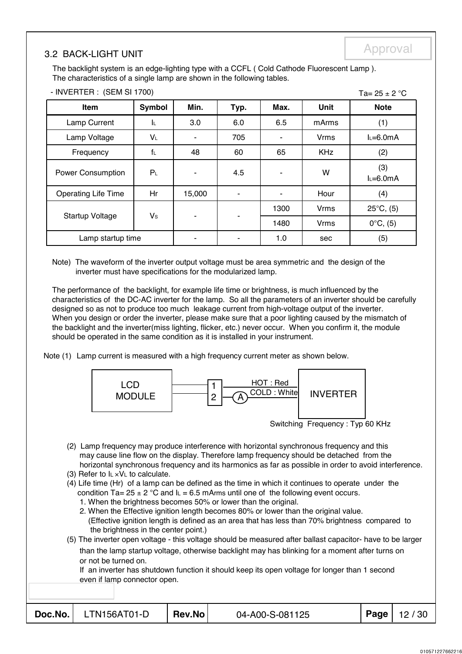# Approval 3.2 BACK-LIGHT UNIT

 $Ta - 25 + 2 °C$ 

The backlight system is an edge-lighting type with a CCFL ( Cold Cathode Fluorescent Lamp ). The characteristics of a single lamp are shown in the following tables.

|                            |                |        |      |      |             | . u – Lv – Lv –     |
|----------------------------|----------------|--------|------|------|-------------|---------------------|
| Item                       | <b>Symbol</b>  | Min.   | Typ. | Max. | Unit        | <b>Note</b>         |
| Lamp Current               | ΙL.            | 3.0    | 6.0  | 6.5  | mArms       | (1)                 |
| Lamp Voltage               | $V_L$          |        | 705  |      | <b>Vrms</b> | $L=6.0mA$           |
| Frequency                  | $f_L$          | 48     | 60   | 65   | <b>KHz</b>  | (2)                 |
| <b>Power Consumption</b>   | P <sub>L</sub> | ۰      | 4.5  | ۰    | W           | (3)<br>$L=6.0mA$    |
| <b>Operating Life Time</b> | Hr             | 15,000 | ۰    | ۰    | Hour        | (4)                 |
|                            |                |        |      | 1300 | <b>Vrms</b> | $25^{\circ}C$ , (5) |
| <b>Startup Voltage</b>     | Vs             | ۰      |      | 1480 | <b>Vrms</b> | $0^{\circ}C, (5)$   |
| Lamp startup time          |                |        |      | 1.0  | sec         | (5)                 |

#### - INVERTER : (SEM SI 1700)

Note) The waveform of the inverter output voltage must be area symmetric and the design of the inverter must have specifications for the modularized lamp.

The performance of the backlight, for example life time or brightness, is much influenced by the characteristics of the DC-AC inverter for the lamp. So all the parameters of an inverter should be carefully designed so as not to produce too much leakage current from high-voltage output of the inverter. When you design or order the inverter, please make sure that a poor lighting caused by the mismatch of the backlight and the inverter(miss lighting, flicker, etc.) never occur. When you confirm it, the module should be operated in the same condition as it is installed in your instrument.

Note (1) Lamp current is measured with a high frequency current meter as shown below.



Switching Frequency : Typ 60 KHz

- (2) Lamp frequency may produce interference with horizontal synchronous frequency and this may cause line flow on the display. Therefore lamp frequency should be detached from the horizontal synchronous frequency and its harmonics as far as possible in order to avoid interference.
- (3) Refer to  $I_L \times V_L$  to calculate.
- (4) Life time (Hr) of a lamp can be defined as the time in which it continues to operate under the condition Ta=  $25 \pm 2$  °C and  $I_L = 6.5$  mArms until one of the following event occurs.
	- 1. When the brightness becomes 50% or lower than the original.
	- 2. When the Effective ignition length becomes 80% or lower than the original value.
	- (Effective ignition length is defined as an area that has less than 70% brightness compared to the brightness in the center point.)
- (5) The inverter open voltage this voltage should be measured after ballast capacitor- have to be larger than the lamp startup voltage, otherwise backlight may has blinking for a moment after turns on or not be turned on.

If an inverter has shutdown function it should keep its open voltage for longer than 1 second even if lamp connector open.

| Doc.No. |  |
|---------|--|
|         |  |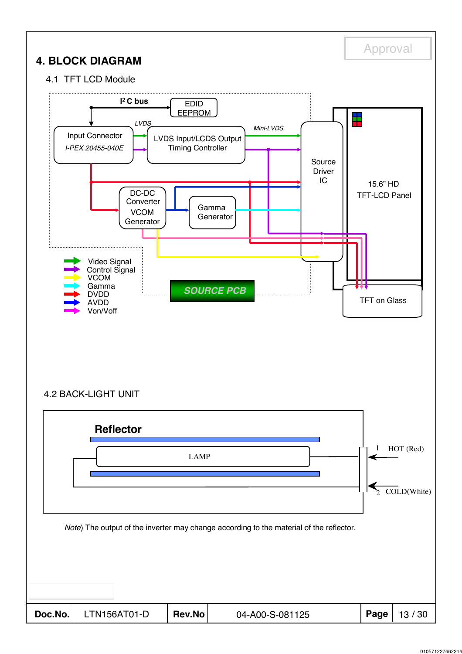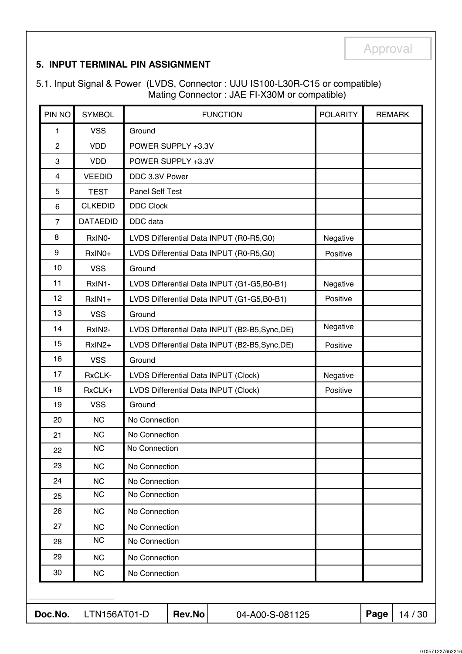## **5. INPUT TERMINAL PIN ASSIGNMENT**

5.1. Input Signal & Power (LVDS, Connector : UJU IS100-L30R-C15 or compatible) Mating Connector : JAE FI-X30M or compatible)

| PIN NO         | <b>SYMBOL</b>   |                  |                                                | <b>FUNCTION</b>                            | <b>POLARITY</b> | <b>REMARK</b> |         |
|----------------|-----------------|------------------|------------------------------------------------|--------------------------------------------|-----------------|---------------|---------|
| $\mathbf{1}$   | <b>VSS</b>      | Ground           |                                                |                                            |                 |               |         |
| $\overline{c}$ | <b>VDD</b>      |                  | POWER SUPPLY +3.3V                             |                                            |                 |               |         |
| 3              | <b>VDD</b>      |                  | POWER SUPPLY +3.3V                             |                                            |                 |               |         |
| 4              | <b>VEEDID</b>   | DDC 3.3V Power   |                                                |                                            |                 |               |         |
| 5              | <b>TEST</b>     | Panel Self Test  |                                                |                                            |                 |               |         |
| 6              | <b>CLKEDID</b>  | <b>DDC Clock</b> |                                                |                                            |                 |               |         |
| $\overline{7}$ | <b>DATAEDID</b> | DDC data         |                                                |                                            |                 |               |         |
| 8              | RxINO-          |                  |                                                | LVDS Differential Data INPUT (R0-R5,G0)    | Negative        |               |         |
| 9              | RxIN0+          |                  |                                                | LVDS Differential Data INPUT (R0-R5,G0)    | Positive        |               |         |
| 10             | <b>VSS</b>      | Ground           |                                                |                                            |                 |               |         |
| 11             | RxIN1-          |                  |                                                | LVDS Differential Data INPUT (G1-G5,B0-B1) | Negative        |               |         |
| 12             | RxIN1+          |                  |                                                | LVDS Differential Data INPUT (G1-G5,B0-B1) | Positive        |               |         |
| 13             | <b>VSS</b>      | Ground           |                                                |                                            |                 |               |         |
| 14             | RxIN2-          |                  | LVDS Differential Data INPUT (B2-B5, Sync, DE) | Negative                                   |                 |               |         |
| 15             | RxIN2+          |                  | LVDS Differential Data INPUT (B2-B5, Sync, DE) | Positive                                   |                 |               |         |
| 16             | <b>VSS</b>      | Ground           |                                                |                                            |                 |               |         |
| 17             | RxCLK-          |                  | LVDS Differential Data INPUT (Clock)           | Negative                                   |                 |               |         |
| 18             | RxCLK+          |                  | LVDS Differential Data INPUT (Clock)           | Positive                                   |                 |               |         |
| 19             | <b>VSS</b>      | Ground           |                                                |                                            |                 |               |         |
| 20             | <b>NC</b>       | No Connection    |                                                |                                            |                 |               |         |
| 21             | <b>NC</b>       | No Connection    |                                                |                                            |                 |               |         |
| 22             | <b>NC</b>       | No Connection    |                                                |                                            |                 |               |         |
| 23             | <b>NC</b>       | No Connection    |                                                |                                            |                 |               |         |
| 24             | <b>NC</b>       | No Connection    |                                                |                                            |                 |               |         |
| 25             | <b>NC</b>       | No Connection    |                                                |                                            |                 |               |         |
| 26             | <b>NC</b>       | No Connection    |                                                |                                            |                 |               |         |
| 27             | <b>NC</b>       | No Connection    |                                                |                                            |                 |               |         |
| 28             | <b>NC</b>       | No Connection    |                                                |                                            |                 |               |         |
| 29             | <b>NC</b>       | No Connection    |                                                |                                            |                 |               |         |
| 30             | <b>NC</b>       | No Connection    |                                                |                                            |                 |               |         |
|                |                 |                  |                                                |                                            |                 |               |         |
| Doc.No.        | LTN156AT01-D    |                  | Rev.No                                         | 04-A00-S-081125                            |                 | Page          | 14 / 30 |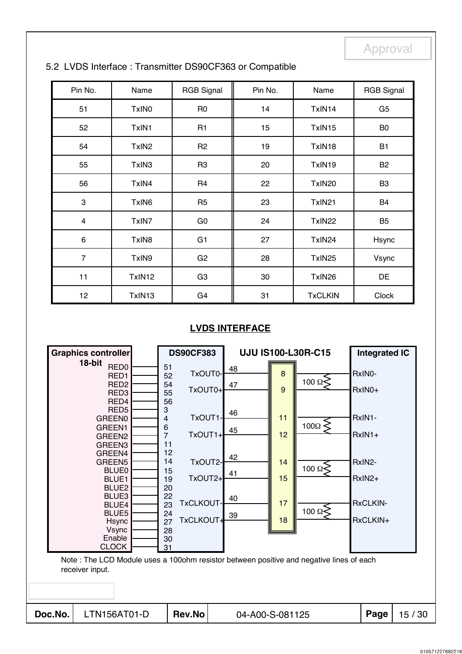| Pin No.         | Name              | <b>RGB Signal</b> | Pin No. | Name           | <b>RGB Signal</b> |
|-----------------|-------------------|-------------------|---------|----------------|-------------------|
| 51              | TxIN <sub>0</sub> | R <sub>0</sub>    | 14      | TxIN14         | G <sub>5</sub>    |
| 52              | TxIN1             | R <sub>1</sub>    | 15      | TxIN15         | B <sub>0</sub>    |
| 54              | TxIN <sub>2</sub> | R <sub>2</sub>    | 19      | TxIN18         | <b>B1</b>         |
| 55              | TxIN3             | R <sub>3</sub>    | 20      | TxIN19         | B <sub>2</sub>    |
| 56              | TxIN4             | R <sub>4</sub>    | 22      | TxIN20         | B <sub>3</sub>    |
| 3               | TxIN <sub>6</sub> | R <sub>5</sub>    | 23      | TxIN21         | B4                |
| $\overline{4}$  | TxIN7             | G <sub>0</sub>    | 24      | TxIN22         | B <sub>5</sub>    |
| $\,6\,$         | TxIN8             | G1                | 27      | TxIN24         | Hsync             |
| $\overline{7}$  | TxIN9             | G <sub>2</sub>    | 28      | TxIN25         | Vsync             |
| 11              | TxIN12            | G <sub>3</sub>    | 30      | TxIN26         | DE                |
| 12 <sub>2</sub> | TxIN13            | G <sub>4</sub>    | 31      | <b>TxCLKIN</b> | Clock             |

## 5.2 LVDS Interface : Transmitter DS90CF363 or Compatible

## **LVDS INTERFACE**

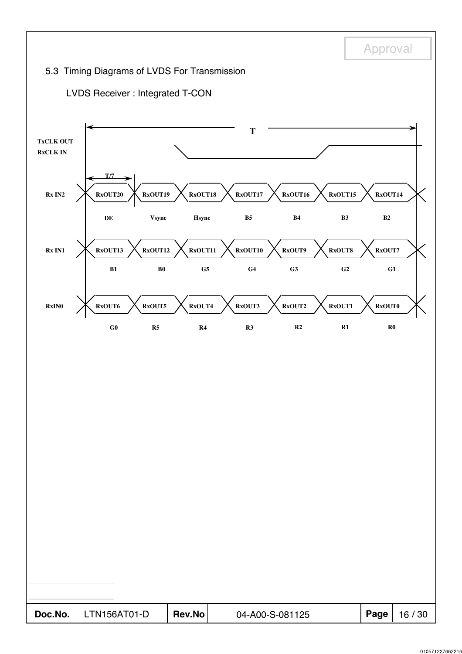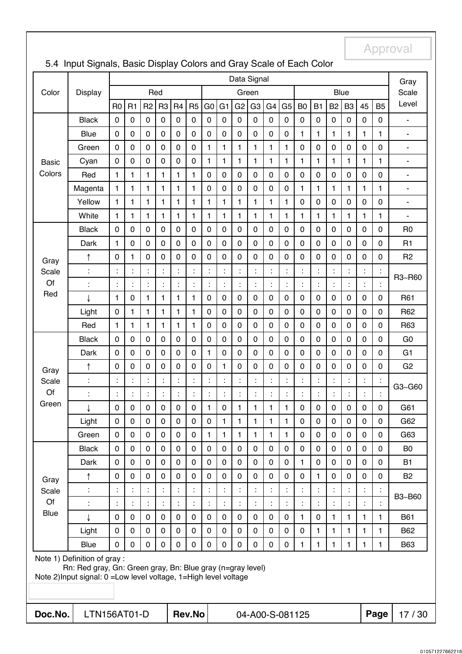|                                                                                                                                                                   | Data Signal    |                |                      |                |                |                |                |                | Gray           |                      |                |                      |                |                     |                |                |                |              |                |                              |
|-------------------------------------------------------------------------------------------------------------------------------------------------------------------|----------------|----------------|----------------------|----------------|----------------|----------------|----------------|----------------|----------------|----------------------|----------------|----------------------|----------------|---------------------|----------------|----------------|----------------|--------------|----------------|------------------------------|
| Color                                                                                                                                                             | <b>Display</b> |                |                      | Red            |                |                |                |                |                |                      | Green          |                      |                |                     |                |                | Blue           |              |                | Scale                        |
|                                                                                                                                                                   |                | R <sub>0</sub> | R1                   | R <sub>2</sub> | R <sub>3</sub> | R <sub>4</sub> | R <sub>5</sub> | G <sub>0</sub> | G <sub>1</sub> | G <sub>2</sub>       | G <sub>3</sub> | G <sub>4</sub>       | G <sub>5</sub> | B <sub>0</sub>      | B <sub>1</sub> | B <sub>2</sub> | B <sub>3</sub> | 45           | <b>B5</b>      | Level                        |
|                                                                                                                                                                   | <b>Black</b>   | 0              | $\mathbf 0$          | 0              | 0              | $\pmb{0}$      | $\mathbf 0$    | $\mathbf 0$    | $\pmb{0}$      | 0                    | $\mathbf 0$    | $\mathbf 0$          | $\mathbf 0$    | $\mathsf{O}\xspace$ | $\pmb{0}$      | $\pmb{0}$      | $\mathbf 0$    | 0            | 0              | ÷,                           |
|                                                                                                                                                                   | <b>Blue</b>    | $\mathbf 0$    | $\overline{0}$       | $\overline{0}$ | 0              | $\mathbf 0$    | 0              | $\mathbf 0$    | $\mathbf 0$    | $\mathbf 0$          | 0              | $\mathbf 0$          | $\mathbf 0$    | $\mathbf{1}$        | $\mathbf{1}$   | 1              | $\mathbf{1}$   | 1            | $\mathbf{1}$   | ÷,                           |
|                                                                                                                                                                   | Green          | $\mathbf 0$    | $\overline{0}$       | $\overline{0}$ | 0              | $\mathbf 0$    | 0              | 1              | 1              | $\mathbf{1}$         | 1              | 1                    | $\mathbf{1}$   | $\mathbf 0$         | $\mathbf 0$    | $\mathbf 0$    | $\mathbf 0$    | 0            | 0              | $\blacksquare$               |
| <b>Basic</b>                                                                                                                                                      | Cyan           | $\pmb{0}$      | $\mathbf 0$          | 0              | 0              | 0              | $\mathbf 0$    | 1              | 1              | 1                    | 1              | 1                    | 1              | 1                   | 1              | $\mathbf{1}$   | 1              | 1            | 1              | $\overline{\phantom{0}}$     |
| Colors                                                                                                                                                            | Red            | 1              | 1                    | 1              | 1              | 1              | 1              | $\mathbf 0$    | $\mathbf 0$    | 0                    | $\mathbf 0$    | $\mathbf 0$          | $\mathbf 0$    | 0                   | 0              | 0              | $\mathbf 0$    | 0            | $\mathbf 0$    | $\blacksquare$               |
|                                                                                                                                                                   | Magenta        | 1              | 1                    | $\mathbf{1}$   | $\mathbf{1}$   | 1              | 1              | 0              | $\mathbf 0$    | 0                    | 0              | $\mathbf 0$          | 0              | 1                   | 1              | $\mathbf{1}$   | 1              | 1            | 1              | $\blacksquare$               |
|                                                                                                                                                                   | Yellow         | 1              | 1                    | 1              | $\mathbf{1}$   | 1              | 1              | 1              | 1              | 1                    | 1              | 1                    | $\mathbf{1}$   | $\mathbf 0$         | 0              | 0              | $\mathbf 0$    | 0            | 0              | $\overline{\phantom{m}}$     |
|                                                                                                                                                                   | White          | 1              | 1                    | 1              | 1              | 1              | 1              | 1              | 1              | 1                    | 1              | 1                    | $\mathbf{1}$   | 1                   | 1              | 1              | 1              | 1            | 1              | $\qquad \qquad \blacksquare$ |
|                                                                                                                                                                   | <b>Black</b>   | 0              | 0                    | 0              | 0              | 0              | 0              | 0              | $\pmb{0}$      | 0                    | 0              | $\mathbf 0$          | 0              | 0                   | 0              | 0              | $\mathbf 0$    | 0            | 0              | R <sub>0</sub>               |
|                                                                                                                                                                   | Dark           | 1              | $\mathbf 0$          | 0              | 0              | $\mathbf 0$    | 0              | 0              | 0              | $\mathbf 0$          | 0              | $\overline{0}$       | 0              | 0                   | 0              | 0              | $\mathbf 0$    | 0            | 0              | R1                           |
| Gray                                                                                                                                                              | ↑              | 0              | $\mathbf{1}$         | 0              | 0              | 0              | 0              | 0              | 0              | 0                    | 0              | $\mathbf 0$          | 0              | $\mathbf 0$         | 0              | 0              | $\mathbf 0$    | 0            | 0              | R <sub>2</sub>               |
| Scale                                                                                                                                                             | $\vdots$       | İ              | $\ddot{\phantom{a}}$ | ÷.             | t              |                | $\blacksquare$ |                | $\ddot{\cdot}$ | $\ddot{\cdot}$       | ÷.             | Ì.                   | t              | t                   | t              |                |                | t            | $\ddot{\cdot}$ | R3~R60                       |
| Of                                                                                                                                                                | $\vdots$       | t              | $\ddot{\cdot}$       | İ,             |                |                |                |                | $\ddot{\cdot}$ | $\ddot{\phantom{a}}$ | İ,             | $\ddot{\phantom{a}}$ |                | $\ddot{\cdot}$      | İ              |                |                | Ì,           | t              |                              |
| Red                                                                                                                                                               | J              | 1              | $\mathbf 0$          | $\mathbf{1}$   | $\mathbf{1}$   | 1              | $\mathbf{1}$   | 0              | 0              | $\mathbf 0$          | $\mathbf 0$    | $\mathbf 0$          | $\pmb{0}$      | $\mathbf 0$         | 0              | 0              | $\mathbf 0$    | 0            | $\mathbf 0$    | R61                          |
|                                                                                                                                                                   | Light          | 0              | $\mathbf{1}$         | 1              | 1              | 1              | 1              | 0              | 0              | $\mathbf 0$          | 0              | $\mathbf 0$          | $\pmb{0}$      | $\mathbf 0$         | 0              | $\mathbf 0$    | $\mathbf 0$    | 0            | $\mathbf 0$    | R62                          |
|                                                                                                                                                                   | Red            | 1              | $\mathbf{1}$         | $\mathbf{1}$   | 1              | 1              | 1              | 0              | $\pmb{0}$      | $\mathbf 0$          | $\mathbf 0$    | $\mathbf 0$          | $\pmb{0}$      | 0                   | 0              | $\pmb{0}$      | $\mathbf 0$    | 0            | $\mathbf 0$    | R63                          |
|                                                                                                                                                                   | <b>Black</b>   | $\pmb{0}$      | $\mathbf 0$          | $\mathbf 0$    | 0              | 0              | 0              | 0              | $\pmb{0}$      | $\mathbf 0$          | 0              | $\mathbf 0$          | $\mathbf 0$    | $\mathbf 0$         | 0              | $\pmb{0}$      | $\mathbf 0$    | 0            | 0              | G <sub>0</sub>               |
|                                                                                                                                                                   | Dark           | 0              | $\mathbf 0$          | $\mathbf 0$    | 0              | $\mathbf 0$    | 0              | 1              | $\mathbf 0$    | $\overline{0}$       | $\mathbf 0$    | $\overline{0}$       | $\mathbf 0$    | $\mathbf 0$         | $\mathbf 0$    | $\mathbf 0$    | $\mathbf 0$    | 0            | 0              | G <sub>1</sub>               |
| Gray                                                                                                                                                              | ↑              | 0              | $\overline{0}$       | 0              | 0              | $\mathbf 0$    | 0              | 0              | $\mathbf{1}$   | $\mathbf 0$          | 0              | $\overline{0}$       | 0              | $\mathbf 0$         | 0              | 0              | $\mathbf 0$    | 0            | 0              | G <sub>2</sub>               |
| Scale                                                                                                                                                             | $\ddot{\cdot}$ | t              | $\ddot{\phantom{a}}$ | t              | t              | t              | t              |                | İ              | t                    | t.             | t.                   | t              | ÷                   | t              |                |                | t            | Ì              | G3~G60                       |
| Of                                                                                                                                                                | $\ddot{\cdot}$ | t              | $\ddot{\cdot}$       | ÷.             | t,             | ÷              | Ì.             |                | t              | $\ddot{\cdot}$       | ÷.             | ÷                    | ř,             | t.                  | Ì.             | t              |                | t            | Ì              |                              |
| Green                                                                                                                                                             | ↓              | 0              | 0                    | 0              | 0              | 0              | 0              | 1              | 0              | 1                    | 1              | 1                    | $\mathbf{1}$   | 0                   | 0              | 0              | 0              | 0            | 0              | G61                          |
|                                                                                                                                                                   | Light          | 0              | 0                    | 0              | 0              | 0              | 0              | 0              | 1              | 1                    | 1              | 1                    | 1              | 0                   | 0              | 0              | $\mathbf 0$    | 0            | 0              | G62                          |
|                                                                                                                                                                   | Green          | 0              | $\mathbf 0$          | 0              | 0              | 0              | $\mathbf 0$    | 1              | 1              | 1                    | $\mathbf{1}$   | $\mathbf{1}$         | $\mathbf{1}$   | 0                   | 0              | $\mathbf 0$    | 0              | 0            | 0              | G63                          |
|                                                                                                                                                                   | <b>Black</b>   | 0              | 0                    | 0              | 0              | 0              | $\mathbf 0$    | 0              | 0              | 0                    | 0              | 0                    | 0              | $\mathbf 0$         | 0              | 0              | $\mathbf 0$    | 0            | 0              | B <sub>0</sub>               |
|                                                                                                                                                                   | Dark           | 0              | $\mathbf 0$          | 0              | 0              | 0              | $\mathbf 0$    | 0              | $\pmb{0}$      | 0                    | 0              | $\mathbf 0$          | 0              | $\mathbf{1}$        | 0              | 0              | $\mathbf 0$    | 0            | $\mathbf 0$    | <b>B1</b>                    |
| Gray                                                                                                                                                              | ↑              | 0              | $\mathbf 0$          | $\mathbf 0$    | 0              | $\mathbf 0$    | $\mathbf 0$    | $\mathbf 0$    | $\mathbf 0$    | $\mathbf 0$          | 0              | $\mathbf 0$          | 0              | $\mathbf 0$         | 1              | $\mathbf 0$    | $\mathbf 0$    | 0            | $\mathbf 0$    | <b>B2</b>                    |
| Scale                                                                                                                                                             |                | t              | $\ddot{\phantom{a}}$ | t              |                |                |                |                |                |                      | t              | Ì.                   | ÷              |                     | t              |                |                |              |                | B3~B60                       |
| Of                                                                                                                                                                |                | İ              | $\ddot{\phantom{a}}$ | Ì.             |                |                |                |                | $\ddot{\cdot}$ | $\ddot{\phantom{a}}$ | Ì.             | Ì.                   | t,             | t.                  |                |                |                | Ì,           |                |                              |
| Blue                                                                                                                                                              | J              | 0              | $\mathbf 0$          | $\mathbf 0$    | $\mathbf 0$    | 0              | $\mathbf 0$    | $\mathbf 0$    | $\mathbf 0$    | 0                    | $\mathbf 0$    | $\mathbf 0$          | $\mathbf 0$    | 1                   | 0              | 1              | $\mathbf{1}$   | $\mathbf{1}$ | 1              | <b>B61</b>                   |
|                                                                                                                                                                   | Light          | 0              | $\mathbf 0$          | 0              | 0              | 0              | $\mathbf 0$    | $\mathbf 0$    | $\mathbf 0$    | 0                    | $\mathbf 0$    | $\mathbf 0$          | $\mathbf 0$    | $\mathbf 0$         | 1              | $\mathbf{1}$   | 1              | $\mathbf{1}$ | 1              | B62                          |
|                                                                                                                                                                   | <b>Blue</b>    | 0              | $\mathbf 0$          | 0              | 0              | $\mathbf 0$    | $\mathbf 0$    | 0              | $\pmb{0}$      | 0                    | 0              | $\mathbf 0$          | $\pmb{0}$      | $\mathbf{1}$        | 1              | 1              | 1              | 1            | 1              | <b>B63</b>                   |
| Note 1) Definition of gray :<br>Rn: Red gray, Gn: Green gray, Bn: Blue gray (n=gray level)<br>Note 2) Input signal: 0 = Low level voltage, 1 = High level voltage |                |                |                      |                |                |                |                |                |                |                      |                |                      |                |                     |                |                |                |              |                |                              |
| Doc.No.                                                                                                                                                           | LTN156AT01-D   |                |                      |                |                |                | <b>Rev.No</b>  |                |                |                      |                |                      |                | 04-A00-S-081125     |                |                |                |              | Page           | 17/30                        |

# 5.4 Input Signals, Basic Display Colors and Gray Scale of Each Color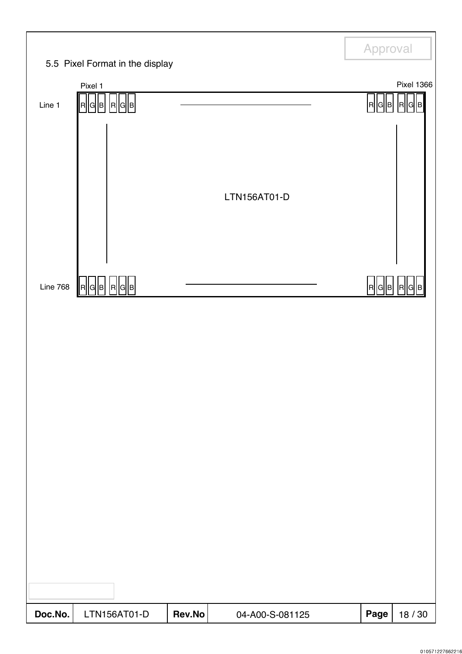|          |                                            |        |                 | Approval     |                                 |
|----------|--------------------------------------------|--------|-----------------|--------------|---------------------------------|
|          | 5.5 Pixel Format in the display            |        |                 |              |                                 |
| Line 1   | Pixel 1<br>R G  B <br> R  G  B             |        |                 | R<br> G  B   | <b>Pixel 1366</b><br> R <br>IGI |
|          |                                            |        | LTN156AT01-D    |              |                                 |
| Line 768 | $R \mathsf{G} \mathsf{B} $<br> G  B <br> R |        |                 | <b>R</b> G B | R<br>ΙG                         |
|          |                                            |        |                 |              |                                 |
| Doc.No.  | LTN156AT01-D                               | Rev.No | 04-A00-S-081125 | Page         | 18 / 30                         |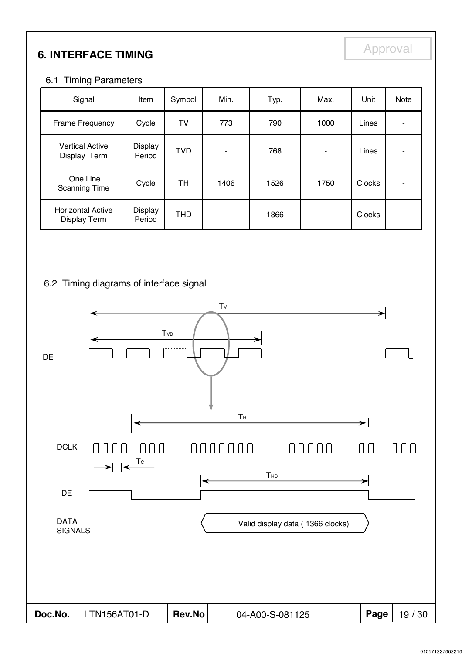# **6. INTERFACE TIMING**

### 6.1 Timing Parameters

| Signal                                          | Item              | Symbol     | Min. | Typ. | Max. | Unit          | <b>Note</b> |
|-------------------------------------------------|-------------------|------------|------|------|------|---------------|-------------|
| Frame Frequency                                 | Cycle             | TV         | 773  | 790  | 1000 | Lines         |             |
| <b>Vertical Active</b><br>Display Term          | Display<br>Period | <b>TVD</b> | ۰    | 768  |      | Lines         |             |
| One Line<br><b>Scanning Time</b>                | Cycle             | TН         | 1406 | 1526 | 1750 | <b>Clocks</b> |             |
| <b>Horizontal Active</b><br><b>Display Term</b> | Display<br>Period | <b>THD</b> | ۰    | 1366 | ۰    | Clocks        |             |

# 6.2 Timing diagrams of interface signal

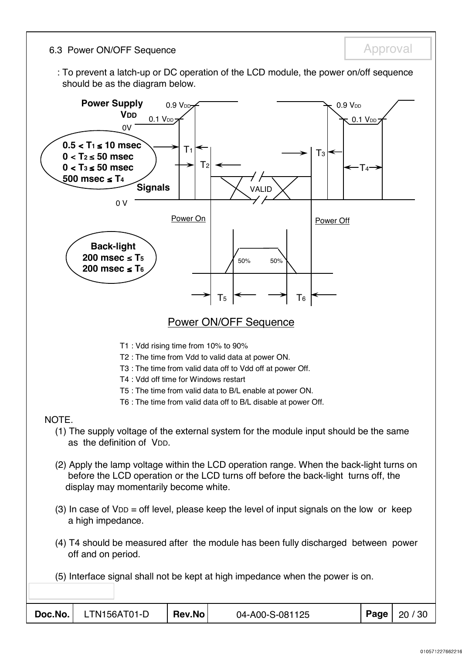6.3 Power ON/OFF Sequence **Approval** Approval

: To prevent a latch-up or DC operation of the LCD module, the power on/off sequence should be as the diagram below.

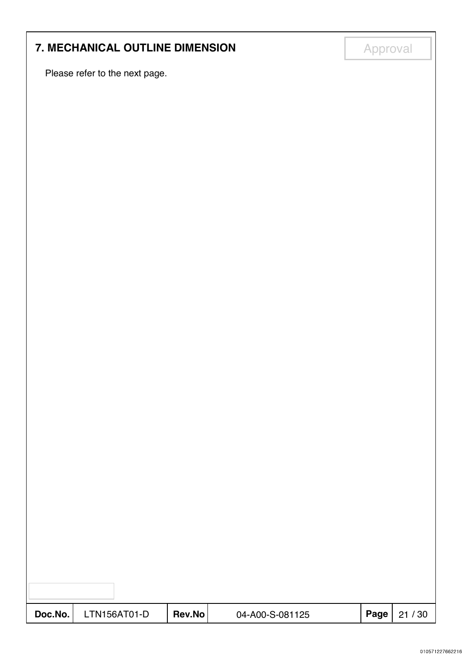# **7. MECHANICAL OUTLINE DIMENSION Approval**

Please refer to the next page.

| Doc.No. | LTN156AT01-D | Rev.No | 04-A00-S-081125 | Page | 21/30 |
|---------|--------------|--------|-----------------|------|-------|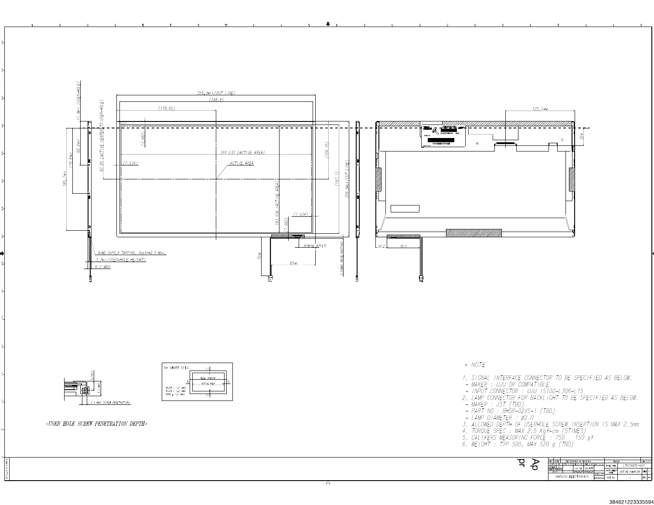

óا

#### 384621223335594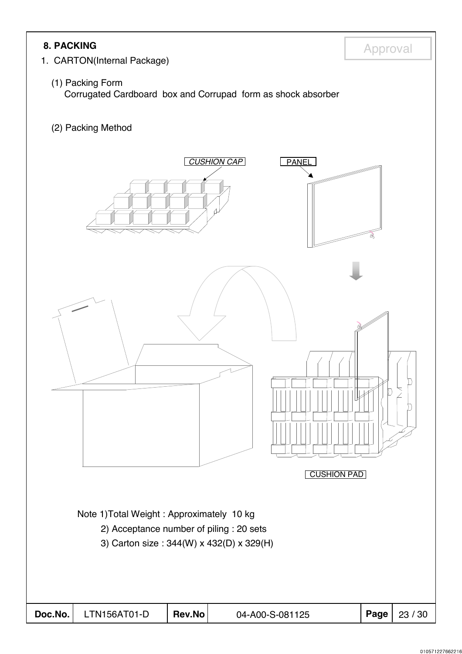